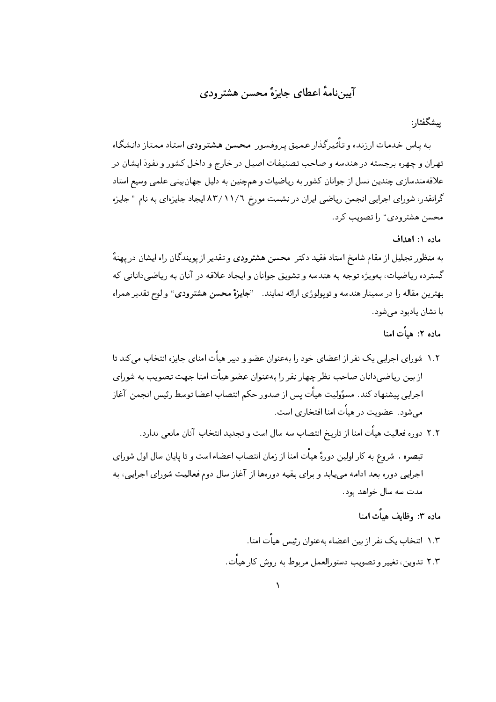## آییننامهٔ اعطای جایزهٔ محسن هشترودی

ِيشگفتار :

به پاس خدمات ارزنده و تأثیرگذار عمیق پر وفسور محسن هشترودی استاد ممتاز دانشگاه تهران و چهره برجسته در هندسه و صاحب تصنیفات اصیل در خارج و داخل کشور و نفوذ ایشان در علاقهمندسازی چندین نسل از جوانان کشور به ریاضیات و همچنین به دلیل جهانبینی علمی وسیع استاد گرانقدر، شورای اجرایی انجمن ریاضی ایران در نشست مورخ ۸۳/۱۱/۲ ایجاد جایزهای به نام " جایزه محسن هشترودي" ,ا تصويب كرد.

ماده ١: اهداف

به منظور تجلیل از مقام شامخ استاد فقید دکتر محسن هشترودی و تقدیر از یویندگان راه ایشان در یهنهٔ گسترده رياضيات، بهويژه توجه به هندسه و تشويق جوانان و ايجاد علاقه در آنان به رياضي داناني كه بهترین مقاله را در سمینار هندسه و توپولوژی ارائه نمایند. <sup>«</sup>جایزهٔ محسن هشترودی" و لوح تقدیر همراه با نشان يادبود مي شود.

ماده ۲: هيأت امنا

- ۱.۲ شورای اجرایی یک نفر از اعضای خود را بهعنوان عضو و دبیر هیات امنای جایزه انتخاب میکند تا از بین ریاضیدانان صاحب نظر چهار نفر را بهعنوان عضو هیأت امنا جهت تصویب به شورای اجرایی پیشنهاد کند. مسؤولیت هیأت پس از صدور حکم انتصاب اعضا توسط رئیس انجمن آغاز می شود. عضویت در هیاّت امنا افتخاری است.
- ٢.٢ دوره فعاليت هيأت امنا از تاريخ انتصاب سه سال است و تجديد انتخاب آنان مانعي ندارد. تبصره . شروع به کار اولین دورهٔ هیأت امنا از زمان انتصاب اعضاءاست و تا پایان سال اول شورای اجرایی دوره بعد ادامه مییابد و برای بقیه دورهها از آغاز سال دوم فعالیت شورای اجرایی، به مدت سه سال خواهد بود.

ماده ۳: وظایف هیأت امنا

- ١.٣ انتخاب يک نفر از بين اعضاء بهعنوان ,ئسر , هيأت امنا.
- ٢.٣ تدوين، تغيير و تصويب دستورالعمل مربوط به روش كار هيأت.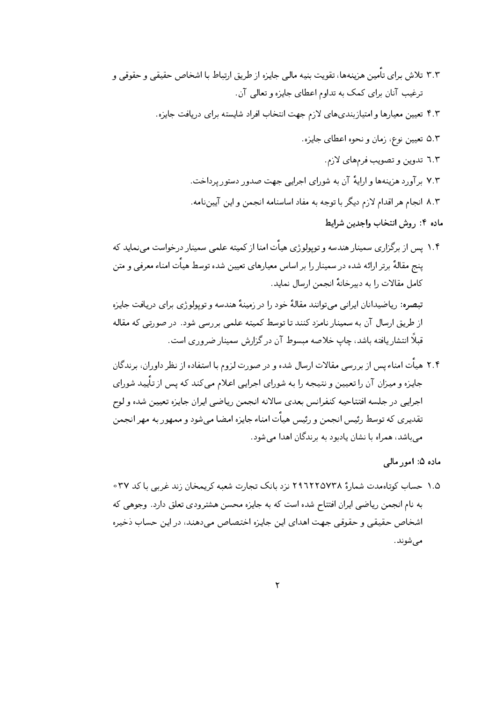- ۳.۳ تلاش برای تأمین هزینهها، تقویت بنیه مالی جایزه از طریق ارتباط با اشخاص حقیقی و حقوقی و ترغیب آنان برای کمک به تداوم اعطای جایزه و تعالی آن.
	- ۴.۳ تعیین معیارها و امتیازبندیهای لازم جهت انتخاب افراد شایسته برای دریافت جایزه.
		- ۵.۳ تعیین نوع، زمان و نحوه اعطای جایزه.
			- ٦.٣ تدوين و تصويب فرمهاي لازم.
		- ۷.۳ برآورد هزینهها و ارایهٔ آن به شورای اجرایی جهت صدور دستور پرداخت.
		- ٨.٢ انجام هر اقدام لازم ديگر با توجه به مفاد اساسنامه انجمن و اين آيين نامه.

ماده ۴: روش انتخاب واجدین شرایط

۱.۴ پس از برگزاری سمینار هندسه و توپولوژی هیأت امنا از کمیته علمی سمینار درخواست می نماید که پنج مقالهٔ برتر ارائه شده در سمینار را بر اساس معیارهای تعیین شده توسط هیأت امناء معرفی و متن كامل مقالات را به دبیرخانهٔ انجمن ارسال نماید.

تبصره: ریاضیدانان ایرانی می توانند مقالهٔ خود را در زمینهٔ هندسه و توپولوژی برای دریافت جایزه از طریق ارسال آن به سمینار نامزد کنند تا توسط کمیته علمی بررسی شود. در صورتی که مقاله قبلاً انتشار یافته باشد، چاپ خلاصه مبسوط آن در گزارش سمینار ضروری است.

۲.۴ هیأت امناء پس از بررسی مقالات ارسال شده و در صورت لزوم با استفاده از نظر داوران، برندگان جایزه و میزان آن را تعیین و نتیجه را به شورای اجرایی اعلام می کند که پس از تأیید شورای اجرايبي در جلسه افتتاحيه كنفرانس بعدى سالانه انجمن رياضبي ايران جايزه تعيين شده ولوح تقديري كه توسط رئيس انجمن و رئيس هيأت امناء جايزه امضا مي شود و ممهور به مهر انجمن می باشد، همراه با نشان یادبود به برندگان اهدا می شود.

ماده ۵: امور مالي

۱.۵ حساب کوتاهمدت شمارهٔ ۲۹٦۲۲۵۷۳۸ نزد بانک تجارت شعبه کریمخان زند غربی با کد ۳۷ ه به نام انجمن ریاضی ایران افتتاح شده است که به جایزه محسن هشترودی تعلق دارد. وجوهی که اشخاص حقیقی و حقوقی جهت اهدای این جایزه اختصاص میدهند، در این حساب ذخیره مىشوند.